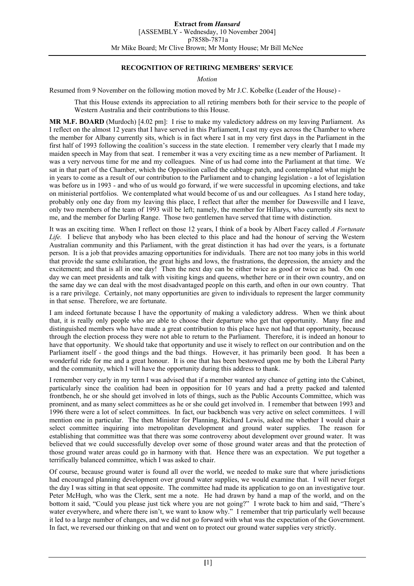# **RECOGNITION OF RETIRING MEMBERS' SERVICE**

*Motion* 

Resumed from 9 November on the following motion moved by Mr J.C. Kobelke (Leader of the House) -

That this House extends its appreciation to all retiring members both for their service to the people of Western Australia and their contributions to this House.

**MR M.F. BOARD** (Murdoch) [4.02 pm]: I rise to make my valedictory address on my leaving Parliament. As I reflect on the almost 12 years that I have served in this Parliament, I cast my eyes across the Chamber to where the member for Albany currently sits, which is in fact where I sat in my very first days in the Parliament in the first half of 1993 following the coalition's success in the state election. I remember very clearly that I made my maiden speech in May from that seat. I remember it was a very exciting time as a new member of Parliament. It was a very nervous time for me and my colleagues. Nine of us had come into the Parliament at that time. We sat in that part of the Chamber, which the Opposition called the cabbage patch, and contemplated what might be in years to come as a result of our contribution to the Parliament and to changing legislation - a lot of legislation was before us in 1993 - and who of us would go forward, if we were successful in upcoming elections, and take on ministerial portfolios. We contemplated what would become of us and our colleagues. As I stand here today, probably only one day from my leaving this place, I reflect that after the member for Dawesville and I leave, only two members of the team of 1993 will be left; namely, the member for Hillarys, who currently sits next to me, and the member for Darling Range. Those two gentlemen have served that time with distinction.

It was an exciting time. When I reflect on those 12 years, I think of a book by Albert Facey called *A Fortunate Life.* I believe that anybody who has been elected to this place and had the honour of serving the Western Australian community and this Parliament, with the great distinction it has had over the years, is a fortunate person. It is a job that provides amazing opportunities for individuals. There are not too many jobs in this world that provide the same exhilaration, the great highs and lows, the frustrations, the depression, the anxiety and the excitement; and that is all in one day! Then the next day can be either twice as good or twice as bad. On one day we can meet presidents and talk with visiting kings and queens, whether here or in their own country, and on the same day we can deal with the most disadvantaged people on this earth, and often in our own country. That is a rare privilege. Certainly, not many opportunities are given to individuals to represent the larger community in that sense. Therefore, we are fortunate.

I am indeed fortunate because I have the opportunity of making a valedictory address. When we think about that, it is really only people who are able to choose their departure who get that opportunity. Many fine and distinguished members who have made a great contribution to this place have not had that opportunity, because through the election process they were not able to return to the Parliament. Therefore, it is indeed an honour to have that opportunity. We should take that opportunity and use it wisely to reflect on our contribution and on the Parliament itself - the good things and the bad things. However, it has primarily been good. It has been a wonderful ride for me and a great honour. It is one that has been bestowed upon me by both the Liberal Party and the community, which I will have the opportunity during this address to thank.

I remember very early in my term I was advised that if a member wanted any chance of getting into the Cabinet, particularly since the coalition had been in opposition for 10 years and had a pretty packed and talented frontbench, he or she should get involved in lots of things, such as the Public Accounts Committee, which was prominent, and as many select committees as he or she could get involved in. I remember that between 1993 and 1996 there were a lot of select committees. In fact, our backbench was very active on select committees. I will mention one in particular. The then Minister for Planning, Richard Lewis, asked me whether I would chair a select committee inquiring into metropolitan development and ground water supplies. The reason for establishing that committee was that there was some controversy about development over ground water. It was believed that we could successfully develop over some of those ground water areas and that the protection of those ground water areas could go in harmony with that. Hence there was an expectation. We put together a terrifically balanced committee, which I was asked to chair.

Of course, because ground water is found all over the world, we needed to make sure that where jurisdictions had encouraged planning development over ground water supplies, we would examine that. I will never forget the day I was sitting in that seat opposite. The committee had made its application to go on an investigative tour. Peter McHugh, who was the Clerk, sent me a note. He had drawn by hand a map of the world, and on the bottom it said, "Could you please just tick where you are not going?" I wrote back to him and said, "There's water everywhere, and where there isn't, we want to know why." I remember that trip particularly well because it led to a large number of changes, and we did not go forward with what was the expectation of the Government. In fact, we reversed our thinking on that and went on to protect our ground water supplies very strictly.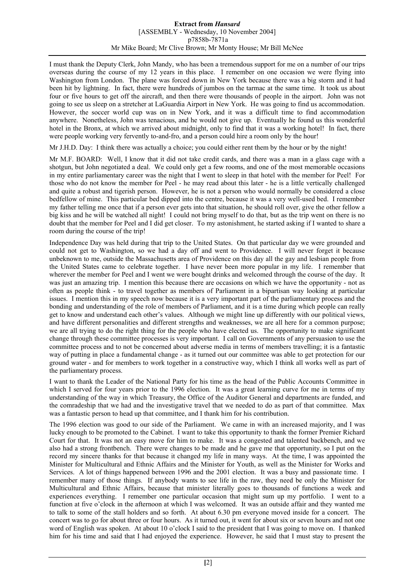I must thank the Deputy Clerk, John Mandy, who has been a tremendous support for me on a number of our trips overseas during the course of my 12 years in this place. I remember on one occasion we were flying into Washington from London. The plane was forced down in New York because there was a big storm and it had been hit by lightning. In fact, there were hundreds of jumbos on the tarmac at the same time. It took us about four or five hours to get off the aircraft, and then there were thousands of people in the airport. John was not going to see us sleep on a stretcher at LaGuardia Airport in New York. He was going to find us accommodation. However, the soccer world cup was on in New York, and it was a difficult time to find accommodation anywhere. Nonetheless, John was tenacious, and he would not give up. Eventually he found us this wonderful hotel in the Bronx, at which we arrived about midnight, only to find that it was a working hotel! In fact, there were people working very fervently to-and-fro, and a person could hire a room only by the hour!

Mr J.H.D. Day: I think there was actually a choice; you could either rent them by the hour or by the night!

Mr M.F. BOARD: Well, I know that it did not take credit cards, and there was a man in a glass cage with a shotgun, but John negotiated a deal. We could only get a few rooms, and one of the most memorable occasions in my entire parliamentary career was the night that I went to sleep in that hotel with the member for Peel! For those who do not know the member for Peel - he may read about this later - he is a little vertically challenged and quite a robust and tigerish person. However, he is not a person who would normally be considered a close bedfellow of mine. This particular bed dipped into the centre, because it was a very well-used bed. I remember my father telling me once that if a person ever gets into that situation, he should roll over, give the other fellow a big kiss and he will be watched all night! I could not bring myself to do that, but as the trip went on there is no doubt that the member for Peel and I did get closer. To my astonishment, he started asking if I wanted to share a room during the course of the trip!

Independence Day was held during that trip to the United States. On that particular day we were grounded and could not get to Washington, so we had a day off and went to Providence. I will never forget it because unbeknown to me, outside the Massachusetts area of Providence on this day all the gay and lesbian people from the United States came to celebrate together. I have never been more popular in my life. I remember that wherever the member for Peel and I went we were bought drinks and welcomed through the course of the day. It was just an amazing trip. I mention this because there are occasions on which we have the opportunity - not as often as people think - to travel together as members of Parliament in a bipartisan way looking at particular issues. I mention this in my speech now because it is a very important part of the parliamentary process and the bonding and understanding of the role of members of Parliament, and it is a time during which people can really get to know and understand each other's values. Although we might line up differently with our political views, and have different personalities and different strengths and weaknesses, we are all here for a common purpose; we are all trying to do the right thing for the people who have elected us. The opportunity to make significant change through these committee processes is very important. I call on Governments of any persuasion to use the committee process and to not be concerned about adverse media in terms of members travelling; it is a fantastic way of putting in place a fundamental change - as it turned out our committee was able to get protection for our ground water - and for members to work together in a constructive way, which I think all works well as part of the parliamentary process.

I want to thank the Leader of the National Party for his time as the head of the Public Accounts Committee in which I served for four years prior to the 1996 election. It was a great learning curve for me in terms of my understanding of the way in which Treasury, the Office of the Auditor General and departments are funded, and the comradeship that we had and the investigative travel that we needed to do as part of that committee. Max was a fantastic person to head up that committee, and I thank him for his contribution.

The 1996 election was good to our side of the Parliament. We came in with an increased majority, and I was lucky enough to be promoted to the Cabinet. I want to take this opportunity to thank the former Premier Richard Court for that. It was not an easy move for him to make. It was a congested and talented backbench, and we also had a strong frontbench. There were changes to be made and he gave me that opportunity, so I put on the record my sincere thanks for that because it changed my life in many ways. At the time, I was appointed the Minister for Multicultural and Ethnic Affairs and the Minister for Youth, as well as the Minister for Works and Services. A lot of things happened between 1996 and the 2001 election. It was a busy and passionate time. I remember many of those things. If anybody wants to see life in the raw, they need be only the Minister for Multicultural and Ethnic Affairs, because that minister literally goes to thousands of functions a week and experiences everything. I remember one particular occasion that might sum up my portfolio. I went to a function at five o'clock in the afternoon at which I was welcomed. It was an outside affair and they wanted me to talk to some of the stall holders and so forth. At about 6.30 pm everyone moved inside for a concert. The concert was to go for about three or four hours. As it turned out, it went for about six or seven hours and not one word of English was spoken. At about 10 o'clock I said to the president that I was going to move on. I thanked him for his time and said that I had enjoyed the experience. However, he said that I must stay to present the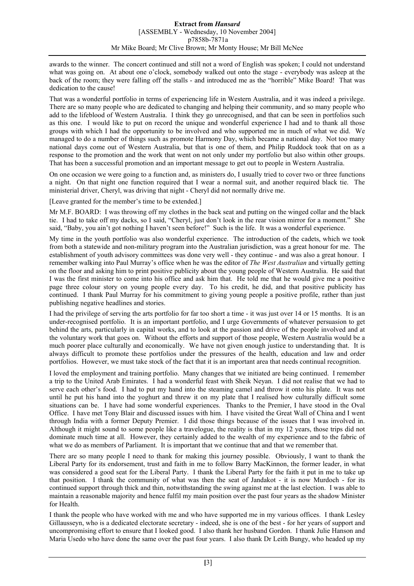awards to the winner. The concert continued and still not a word of English was spoken; I could not understand what was going on. At about one o'clock, somebody walked out onto the stage - everybody was asleep at the back of the room; they were falling off the stalls - and introduced me as the "horrible" Mike Board! That was dedication to the cause!

That was a wonderful portfolio in terms of experiencing life in Western Australia, and it was indeed a privilege. There are so many people who are dedicated to changing and helping their community, and so many people who add to the lifeblood of Western Australia. I think they go unrecognised, and that can be seen in portfolios such as this one. I would like to put on record the unique and wonderful experience I had and to thank all those groups with which I had the opportunity to be involved and who supported me in much of what we did. We managed to do a number of things such as promote Harmony Day, which became a national day. Not too many national days come out of Western Australia, but that is one of them, and Philip Ruddock took that on as a response to the promotion and the work that went on not only under my portfolio but also within other groups. That has been a successful promotion and an important message to get out to people in Western Australia.

On one occasion we were going to a function and, as ministers do, I usually tried to cover two or three functions a night. On that night one function required that I wear a normal suit, and another required black tie. The ministerial driver, Cheryl, was driving that night - Cheryl did not normally drive me.

[Leave granted for the member's time to be extended.]

Mr M.F. BOARD: I was throwing off my clothes in the back seat and putting on the winged collar and the black tie. I had to take off my dacks, so I said, "Cheryl, just don't look in the rear vision mirror for a moment." She said, "Baby, you ain't got nothing I haven't seen before!" Such is the life. It was a wonderful experience.

My time in the youth portfolio was also wonderful experience. The introduction of the cadets, which we took from both a statewide and non-military program into the Australian jurisdiction, was a great honour for me. The establishment of youth advisory committees was done very well - they continue - and was also a great honour. I remember walking into Paul Murray's office when he was the editor of *The West Australian* and virtually getting on the floor and asking him to print positive publicity about the young people of Western Australia. He said that I was the first minister to come into his office and ask him that. He told me that he would give me a positive page three colour story on young people every day. To his credit, he did, and that positive publicity has continued. I thank Paul Murray for his commitment to giving young people a positive profile, rather than just publishing negative headlines and stories.

I had the privilege of serving the arts portfolio for far too short a time - it was just over 14 or 15 months. It is an under-recognised portfolio. It is an important portfolio, and I urge Governments of whatever persuasion to get behind the arts, particularly in capital works, and to look at the passion and drive of the people involved and at the voluntary work that goes on. Without the efforts and support of those people, Western Australia would be a much poorer place culturally and economically. We have not given enough justice to understanding that. It is always difficult to promote these portfolios under the pressures of the health, education and law and order portfolios. However, we must take stock of the fact that it is an important area that needs continual recognition.

I loved the employment and training portfolio. Many changes that we initiated are being continued. I remember a trip to the United Arab Emirates. I had a wonderful feast with Sheik Neyan. I did not realise that we had to serve each other's food. I had to put my hand into the steaming camel and throw it onto his plate. It was not until he put his hand into the yoghurt and threw it on my plate that I realised how culturally difficult some situations can be. I have had some wonderful experiences. Thanks to the Premier, I have stood in the Oval Office. I have met Tony Blair and discussed issues with him. I have visited the Great Wall of China and I went through India with a former Deputy Premier. I did those things because of the issues that I was involved in. Although it might sound to some people like a travelogue, the reality is that in my 12 years, those trips did not dominate much time at all. However, they certainly added to the wealth of my experience and to the fabric of what we do as members of Parliament. It is important that we continue that and that we remember that.

There are so many people I need to thank for making this journey possible. Obviously, I want to thank the Liberal Party for its endorsement, trust and faith in me to follow Barry MacKinnon, the former leader, in what was considered a good seat for the Liberal Party. I thank the Liberal Party for the faith it put in me to take up that position. I thank the community of what was then the seat of Jandakot - it is now Murdoch - for its continued support through thick and thin, notwithstanding the swing against me at the last election. I was able to maintain a reasonable majority and hence fulfil my main position over the past four years as the shadow Minister for Health.

I thank the people who have worked with me and who have supported me in my various offices. I thank Lesley Gillausseyn, who is a dedicated electorate secretary - indeed, she is one of the best - for her years of support and uncompromising effort to ensure that I looked good. I also thank her husband Gordon. I thank Julie Hanson and Maria Usedo who have done the same over the past four years. I also thank Dr Leith Bungy, who headed up my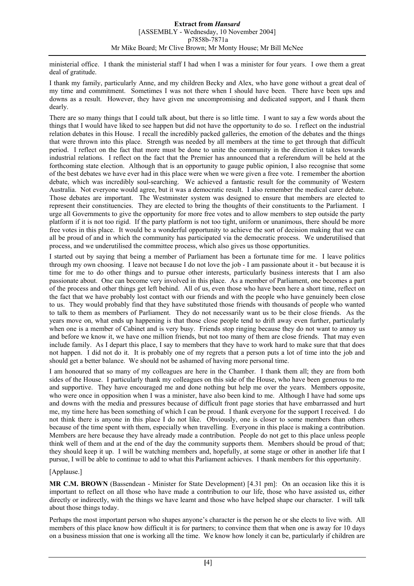ministerial office. I thank the ministerial staff I had when I was a minister for four years. I owe them a great deal of gratitude.

I thank my family, particularly Anne, and my children Becky and Alex, who have gone without a great deal of my time and commitment. Sometimes I was not there when I should have been. There have been ups and downs as a result. However, they have given me uncompromising and dedicated support, and I thank them dearly.

There are so many things that I could talk about, but there is so little time. I want to say a few words about the things that I would have liked to see happen but did not have the opportunity to do so. I reflect on the industrial relation debates in this House. I recall the incredibly packed galleries, the emotion of the debates and the things that were thrown into this place. Strength was needed by all members at the time to get through that difficult period. I reflect on the fact that more must be done to unite the community in the direction it takes towards industrial relations. I reflect on the fact that the Premier has announced that a referendum will be held at the forthcoming state election. Although that is an opportunity to gauge public opinion, I also recognise that some of the best debates we have ever had in this place were when we were given a free vote. I remember the abortion debate, which was incredibly soul-searching. We achieved a fantastic result for the community of Western Australia. Not everyone would agree, but it was a democratic result. I also remember the medical carer debate. Those debates are important. The Westminster system was designed to ensure that members are elected to represent their constituencies. They are elected to bring the thoughts of their constituents to the Parliament. I urge all Governments to give the opportunity for more free votes and to allow members to step outside the party platform if it is not too rigid. If the party platform is not too tight, uniform or unanimous, there should be more free votes in this place. It would be a wonderful opportunity to achieve the sort of decision making that we can all be proud of and in which the community has participated via the democratic process. We underutilised that process, and we underutilised the committee process, which also gives us those opportunities.

I started out by saying that being a member of Parliament has been a fortunate time for me. I leave politics through my own choosing. I leave not because I do not love the job - I am passionate about it - but because it is time for me to do other things and to pursue other interests, particularly business interests that I am also passionate about. One can become very involved in this place. As a member of Parliament, one becomes a part of the process and other things get left behind. All of us, even those who have been here a short time, reflect on the fact that we have probably lost contact with our friends and with the people who have genuinely been close to us. They would probably find that they have substituted those friends with thousands of people who wanted to talk to them as members of Parliament. They do not necessarily want us to be their close friends. As the years move on, what ends up happening is that those close people tend to drift away even further, particularly when one is a member of Cabinet and is very busy. Friends stop ringing because they do not want to annoy us and before we know it, we have one million friends, but not too many of them are close friends. That may even include family. As I depart this place, I say to members that they have to work hard to make sure that that does not happen. I did not do it. It is probably one of my regrets that a person puts a lot of time into the job and should get a better balance. We should not be ashamed of having more personal time.

I am honoured that so many of my colleagues are here in the Chamber. I thank them all; they are from both sides of the House. I particularly thank my colleagues on this side of the House, who have been generous to me and supportive. They have encouraged me and done nothing but help me over the years. Members opposite, who were once in opposition when I was a minister, have also been kind to me. Although I have had some ups and downs with the media and pressures because of difficult front page stories that have embarrassed and hurt me, my time here has been something of which I can be proud. I thank everyone for the support I received. I do not think there is anyone in this place I do not like. Obviously, one is closer to some members than others because of the time spent with them, especially when travelling. Everyone in this place is making a contribution. Members are here because they have already made a contribution. People do not get to this place unless people think well of them and at the end of the day the community supports them. Members should be proud of that; they should keep it up. I will be watching members and, hopefully, at some stage or other in another life that I pursue, I will be able to continue to add to what this Parliament achieves. I thank members for this opportunity.

# [Applause.]

**MR C.M. BROWN** (Bassendean - Minister for State Development) [4.31 pm]: On an occasion like this it is important to reflect on all those who have made a contribution to our life, those who have assisted us, either directly or indirectly, with the things we have learnt and those who have helped shape our character. I will talk about those things today.

Perhaps the most important person who shapes anyone's character is the person he or she elects to live with. All members of this place know how difficult it is for partners; to convince them that when one is away for 10 days on a business mission that one is working all the time. We know how lonely it can be, particularly if children are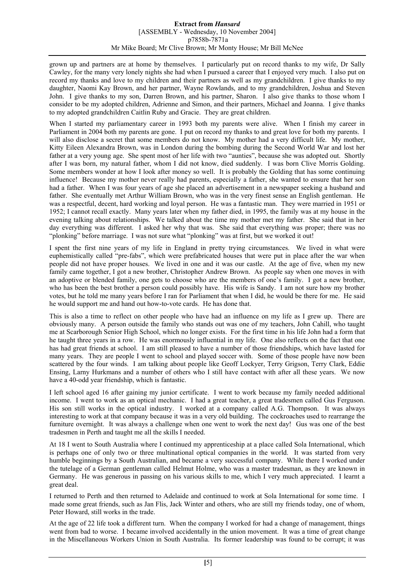grown up and partners are at home by themselves. I particularly put on record thanks to my wife, Dr Sally Cawley, for the many very lonely nights she had when I pursued a career that I enjoyed very much. I also put on record my thanks and love to my children and their partners as well as my grandchildren. I give thanks to my daughter, Naomi Kay Brown, and her partner, Wayne Rowlands, and to my grandchildren, Joshua and Steven John. I give thanks to my son, Darren Brown, and his partner, Sharon. I also give thanks to those whom I consider to be my adopted children, Adrienne and Simon, and their partners, Michael and Joanna. I give thanks to my adopted grandchildren Caitlin Ruby and Gracie. They are great children.

When I started my parliamentary career in 1993 both my parents were alive. When I finish my career in Parliament in 2004 both my parents are gone. I put on record my thanks to and great love for both my parents. I will also disclose a secret that some members do not know. My mother had a very difficult life. My mother, Kitty Eileen Alexandra Brown, was in London during the bombing during the Second World War and lost her father at a very young age. She spent most of her life with two "aunties", because she was adopted out. Shortly after I was born, my natural father, whom I did not know, died suddenly. I was born Clive Morris Golding. Some members wonder at how I look after money so well. It is probably the Golding that has some continuing influence! Because my mother never really had parents, especially a father, she wanted to ensure that her son had a father. When I was four years of age she placed an advertisement in a newspaper seeking a husband and father. She eventually met Arthur William Brown, who was in the very finest sense an English gentleman. He was a respectful, decent, hard working and loyal person. He was a fantastic man. They were married in 1951 or 1952; I cannot recall exactly. Many years later when my father died, in 1995, the family was at my house in the evening talking about relationships. We talked about the time my mother met my father. She said that in her day everything was different. I asked her why that was. She said that everything was proper; there was no "plonking" before marriage. I was not sure what "plonking" was at first, but we worked it out!

I spent the first nine years of my life in England in pretty trying circumstances. We lived in what were euphemistically called "pre-fabs", which were prefabricated houses that were put in place after the war when people did not have proper houses. We lived in one and it was our castle. At the age of five, when my new family came together, I got a new brother, Christopher Andrew Brown. As people say when one moves in with an adoptive or blended family, one gets to choose who are the members of one's family. I got a new brother, who has been the best brother a person could possibly have. His wife is Sandy. I am not sure how my brother votes, but he told me many years before I ran for Parliament that when I did, he would be there for me. He said he would support me and hand out how-to-vote cards. He has done that.

This is also a time to reflect on other people who have had an influence on my life as I grew up. There are obviously many. A person outside the family who stands out was one of my teachers, John Cahill, who taught me at Scarborough Senior High School, which no longer exists. For the first time in his life John had a form that he taught three years in a row. He was enormously influential in my life. One also reflects on the fact that one has had great friends at school. I am still pleased to have a number of those friendships, which have lasted for many years. They are people I went to school and played soccer with. Some of those people have now been scattered by the four winds. I am talking about people like Geoff Lockyer, Terry Grigson, Terry Clark, Eddie Ensing, Larny Hurkmans and a number of others who I still have contact with after all these years. We now have a 40-odd year friendship, which is fantastic.

I left school aged 16 after gaining my junior certificate. I went to work because my family needed additional income. I went to work as an optical mechanic. I had a great teacher, a great tradesmen called Gus Ferguson. His son still works in the optical industry. I worked at a company called A.G. Thompson. It was always interesting to work at that company because it was in a very old building. The cockroaches used to rearrange the furniture overnight. It was always a challenge when one went to work the next day! Gus was one of the best tradesmen in Perth and taught me all the skills I needed.

At 18 I went to South Australia where I continued my apprenticeship at a place called Sola International, which is perhaps one of only two or three multinational optical companies in the world. It was started from very humble beginnings by a South Australian, and became a very successful company. While there I worked under the tutelage of a German gentleman called Helmut Holme, who was a master tradesman, as they are known in Germany. He was generous in passing on his various skills to me, which I very much appreciated. I learnt a great deal.

I returned to Perth and then returned to Adelaide and continued to work at Sola International for some time. I made some great friends, such as Jan Flis, Jack Winter and others, who are still my friends today, one of whom, Peter Howard, still works in the trade.

At the age of 22 life took a different turn. When the company I worked for had a change of management, things went from bad to worse. I became involved accidentally in the union movement. It was a time of great change in the Miscellaneous Workers Union in South Australia. Its former leadership was found to be corrupt; it was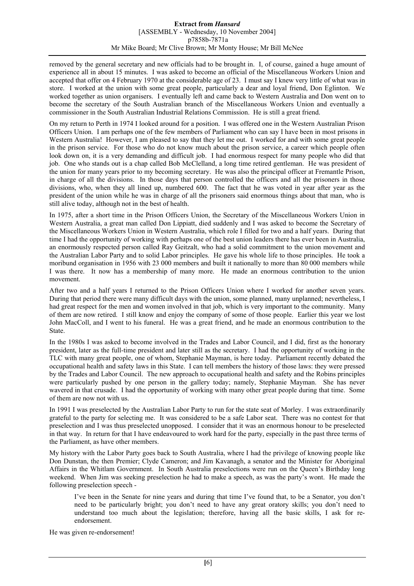removed by the general secretary and new officials had to be brought in. I, of course, gained a huge amount of experience all in about 15 minutes. I was asked to become an official of the Miscellaneous Workers Union and accepted that offer on 4 February 1970 at the considerable age of 23. I must say I knew very little of what was in store. I worked at the union with some great people, particularly a dear and loyal friend, Don Eglinton. We worked together as union organisers. I eventually left and came back to Western Australia and Don went on to become the secretary of the South Australian branch of the Miscellaneous Workers Union and eventually a commissioner in the South Australian Industrial Relations Commission. He is still a great friend.

On my return to Perth in 1974 I looked around for a position. I was offered one in the Western Australian Prison Officers Union. I am perhaps one of the few members of Parliament who can say I have been in most prisons in Western Australia! However, I am pleased to say that they let me out. I worked for and with some great people in the prison service. For those who do not know much about the prison service, a career which people often look down on, it is a very demanding and difficult job. I had enormous respect for many people who did that job. One who stands out is a chap called Bob McClelland, a long time retired gentleman. He was president of the union for many years prior to my becoming secretary. He was also the principal officer at Fremantle Prison, in charge of all the divisions. In those days that person controlled the officers and all the prisoners in those divisions, who, when they all lined up, numbered 600. The fact that he was voted in year after year as the president of the union while he was in charge of all the prisoners said enormous things about that man, who is still alive today, although not in the best of health.

In 1975, after a short time in the Prison Officers Union, the Secretary of the Miscellaneous Workers Union in Western Australia, a great man called Don Lippiatt, died suddenly and I was asked to become the Secretary of the Miscellaneous Workers Union in Western Australia, which role I filled for two and a half years. During that time I had the opportunity of working with perhaps one of the best union leaders there has ever been in Australia, an enormously respected person called Ray Geitzalt, who had a solid commitment to the union movement and the Australian Labor Party and to solid Labor principles. He gave his whole life to those principles. He took a moribund organisation in 1956 with 23 000 members and built it nationally to more than 80 000 members while I was there. It now has a membership of many more. He made an enormous contribution to the union movement.

After two and a half years I returned to the Prison Officers Union where I worked for another seven years. During that period there were many difficult days with the union, some planned, many unplanned; nevertheless, I had great respect for the men and women involved in that job, which is very important to the community. Many of them are now retired. I still know and enjoy the company of some of those people. Earlier this year we lost John MacColl, and I went to his funeral. He was a great friend, and he made an enormous contribution to the State.

In the 1980s I was asked to become involved in the Trades and Labor Council, and I did, first as the honorary president, later as the full-time president and later still as the secretary. I had the opportunity of working in the TLC with many great people, one of whom, Stephanie Mayman, is here today. Parliament recently debated the occupational health and safety laws in this State. I can tell members the history of those laws: they were pressed by the Trades and Labor Council. The new approach to occupational health and safety and the Robins principles were particularly pushed by one person in the gallery today; namely, Stephanie Mayman. She has never wavered in that crusade. I had the opportunity of working with many other great people during that time. Some of them are now not with us.

In 1991 I was preselected by the Australian Labor Party to run for the state seat of Morley. I was extraordinarily grateful to the party for selecting me. It was considered to be a safe Labor seat. There was no contest for that preselection and I was thus preselected unopposed. I consider that it was an enormous honour to be preselected in that way. In return for that I have endeavoured to work hard for the party, especially in the past three terms of the Parliament, as have other members.

My history with the Labor Party goes back to South Australia, where I had the privilege of knowing people like Don Dunstan, the then Premier; Clyde Cameron; and Jim Kavanagh, a senator and the Minister for Aboriginal Affairs in the Whitlam Government. In South Australia preselections were run on the Queen's Birthday long weekend. When Jim was seeking preselection he had to make a speech, as was the party's wont. He made the following preselection speech -

I've been in the Senate for nine years and during that time I've found that, to be a Senator, you don't need to be particularly bright; you don't need to have any great oratory skills; you don't need to understand too much about the legislation; therefore, having all the basic skills, I ask for reendorsement.

He was given re-endorsement!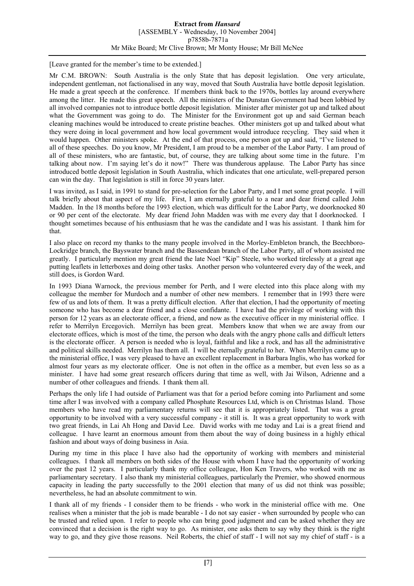[Leave granted for the member's time to be extended.]

Mr C.M. BROWN: South Australia is the only State that has deposit legislation. One very articulate, independent gentleman, not factionalised in any way, moved that South Australia have bottle deposit legislation. He made a great speech at the conference. If members think back to the 1970s, bottles lay around everywhere among the litter. He made this great speech. All the ministers of the Dunstan Government had been lobbied by all involved companies not to introduce bottle deposit legislation. Minister after minister got up and talked about what the Government was going to do. The Minister for the Environment got up and said German beach cleaning machines would be introduced to create pristine beaches. Other ministers got up and talked about what they were doing in local government and how local government would introduce recycling. They said when it would happen. Other ministers spoke. At the end of that process, one person got up and said, "I've listened to all of these speeches. Do you know, Mr President, I am proud to be a member of the Labor Party. I am proud of all of these ministers, who are fantastic, but, of course, they are talking about some time in the future. I'm talking about now. I'm saying let's do it now!" There was thunderous applause. The Labor Party has since introduced bottle deposit legislation in South Australia, which indicates that one articulate, well-prepared person can win the day. That legislation is still in force 30 years later.

I was invited, as I said, in 1991 to stand for pre-selection for the Labor Party, and I met some great people. I will talk briefly about that aspect of my life. First, I am eternally grateful to a near and dear friend called John Madden. In the 18 months before the 1993 election, which was difficult for the Labor Party, we doorknocked 80 or 90 per cent of the electorate. My dear friend John Madden was with me every day that I doorknocked. I thought sometimes because of his enthusiasm that he was the candidate and I was his assistant. I thank him for that.

I also place on record my thanks to the many people involved in the Morley-Embleton branch, the Beechboro-Lockridge branch, the Bayswater branch and the Bassendean branch of the Labor Party, all of whom assisted me greatly. I particularly mention my great friend the late Noel "Kip" Steele, who worked tirelessly at a great age putting leaflets in letterboxes and doing other tasks. Another person who volunteered every day of the week, and still does, is Gordon Ward.

In 1993 Diana Warnock, the previous member for Perth, and I were elected into this place along with my colleague the member for Murdoch and a number of other new members. I remember that in 1993 there were few of us and lots of them. It was a pretty difficult election. After that election, I had the opportunity of meeting someone who has become a dear friend and a close confidante. I have had the privilege of working with this person for 12 years as an electorate officer, a friend, and now as the executive officer in my ministerial office. I refer to Merrilyn Ercegovich. Merrilyn has been great. Members know that when we are away from our electorate offices, which is most of the time, the person who deals with the angry phone calls and difficult letters is the electorate officer. A person is needed who is loyal, faithful and like a rock, and has all the administrative and political skills needed. Merrilyn has them all. I will be eternally grateful to her. When Merrilyn came up to the ministerial office, I was very pleased to have an excellent replacement in Barbara Inglis, who has worked for almost four years as my electorate officer. One is not often in the office as a member, but even less so as a minister. I have had some great research officers during that time as well, with Jai Wilson, Adrienne and a number of other colleagues and friends. I thank them all.

Perhaps the only life I had outside of Parliament was that for a period before coming into Parliament and some time after I was involved with a company called Phosphate Resources Ltd, which is on Christmas Island. Those members who have read my parliamentary returns will see that it is appropriately listed. That was a great opportunity to be involved with a very successful company - it still is. It was a great opportunity to work with two great friends, in Lai Ah Hong and David Lee. David works with me today and Lai is a great friend and colleague. I have learnt an enormous amount from them about the way of doing business in a highly ethical fashion and about ways of doing business in Asia.

During my time in this place I have also had the opportunity of working with members and ministerial colleagues. I thank all members on both sides of the House with whom I have had the opportunity of working over the past 12 years. I particularly thank my office colleague, Hon Ken Travers, who worked with me as parliamentary secretary. I also thank my ministerial colleagues, particularly the Premier, who showed enormous capacity in leading the party successfully to the 2001 election that many of us did not think was possible; nevertheless, he had an absolute commitment to win.

I thank all of my friends - I consider them to be friends - who work in the ministerial office with me. One realises when a minister that the job is made bearable - I do not say easier - when surrounded by people who can be trusted and relied upon. I refer to people who can bring good judgment and can be asked whether they are convinced that a decision is the right way to go. As minister, one asks them to say why they think is the right way to go, and they give those reasons. Neil Roberts, the chief of staff - I will not say my chief of staff - is a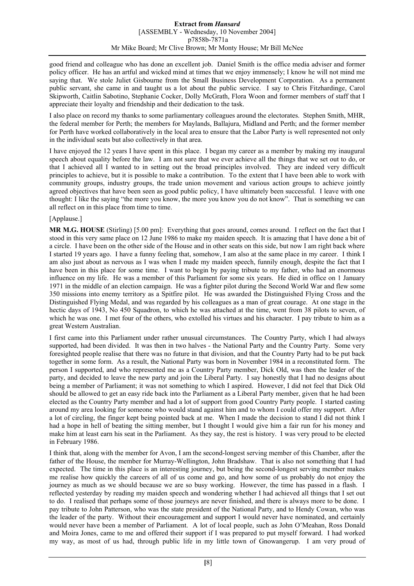good friend and colleague who has done an excellent job. Daniel Smith is the office media adviser and former policy officer. He has an artful and wicked mind at times that we enjoy immensely; I know he will not mind me saying that. We stole Juliet Gisbourne from the Small Business Development Corporation. As a permanent public servant, she came in and taught us a lot about the public service. I say to Chris Fitzhardinge, Carol Skipworth, Caitlin Sabotino, Stephanie Cocker, Dolly McGrath, Flora Woon and former members of staff that I appreciate their loyalty and friendship and their dedication to the task.

I also place on record my thanks to some parliamentary colleagues around the electorates. Stephen Smith, MHR, the federal member for Perth; the members for Maylands, Ballajura, Midland and Perth; and the former member for Perth have worked collaboratively in the local area to ensure that the Labor Party is well represented not only in the individual seats but also collectively in that area.

I have enjoyed the 12 years I have spent in this place. I began my career as a member by making my inaugural speech about equality before the law. I am not sure that we ever achieve all the things that we set out to do, or that I achieved all I wanted to in setting out the broad principles involved. They are indeed very difficult principles to achieve, but it is possible to make a contribution. To the extent that I have been able to work with community groups, industry groups, the trade union movement and various action groups to achieve jointly agreed objectives that have been seen as good public policy, I have ultimately been successful. I leave with one thought: I like the saying "the more you know, the more you know you do not know". That is something we can all reflect on in this place from time to time.

### [Applause.]

**MR M.G. HOUSE** (Stirling) [5.00 pm]: Everything that goes around, comes around. I reflect on the fact that I stood in this very same place on 12 June 1986 to make my maiden speech. It is amazing that I have done a bit of a circle. I have been on the other side of the House and in other seats on this side, but now I am right back where I started 19 years ago. I have a funny feeling that, somehow, I am also at the same place in my career. I think I am also just about as nervous as I was when I made my maiden speech, funnily enough, despite the fact that I have been in this place for some time. I want to begin by paying tribute to my father, who had an enormous influence on my life. He was a member of this Parliament for some six years. He died in office on 1 January 1971 in the middle of an election campaign. He was a fighter pilot during the Second World War and flew some 350 missions into enemy territory as a Spitfire pilot. He was awarded the Distinguished Flying Cross and the Distinguished Flying Medal, and was regarded by his colleagues as a man of great courage. At one stage in the hectic days of 1943, No 450 Squadron, to which he was attached at the time, went from 38 pilots to seven, of which he was one. I met four of the others, who extolled his virtues and his character. I pay tribute to him as a great Western Australian.

I first came into this Parliament under rather unusual circumstances. The Country Party, which I had always supported, had been divided. It was then in two halves - the National Party and the Country Party. Some very foresighted people realise that there was no future in that division, and that the Country Party had to be put back together in some form. As a result, the National Party was born in November 1984 in a reconstituted form. The person I supported, and who represented me as a Country Party member, Dick Old, was then the leader of the party, and decided to leave the new party and join the Liberal Party. I say honestly that I had no designs about being a member of Parliament; it was not something to which I aspired. However, I did not feel that Dick Old should be allowed to get an easy ride back into the Parliament as a Liberal Party member, given that he had been elected as the Country Party member and had a lot of support from good Country Party people. I started casting around my area looking for someone who would stand against him and to whom I could offer my support. After a lot of circling, the finger kept being pointed back at me. When I made the decision to stand I did not think I had a hope in hell of beating the sitting member, but I thought I would give him a fair run for his money and make him at least earn his seat in the Parliament. As they say, the rest is history. I was very proud to be elected in February 1986.

I think that, along with the member for Avon, I am the second-longest serving member of this Chamber, after the father of the House, the member for Murray-Wellington, John Bradshaw. That is also not something that I had expected. The time in this place is an interesting journey, but being the second-longest serving member makes me realise how quickly the careers of all of us come and go, and how some of us probably do not enjoy the journey as much as we should because we are so busy working. However, the time has passed in a flash. I reflected yesterday by reading my maiden speech and wondering whether I had achieved all things that I set out to do. I realised that perhaps some of those journeys are never finished, and there is always more to be done. I pay tribute to John Patterson, who was the state president of the National Party, and to Hendy Cowan, who was the leader of the party. Without their encouragement and support I would never have nominated, and certainly would never have been a member of Parliament. A lot of local people, such as John O'Meahan, Ross Donald and Moira Jones, came to me and offered their support if I was prepared to put myself forward. I had worked my way, as most of us had, through public life in my little town of Gnowangerup. I am very proud of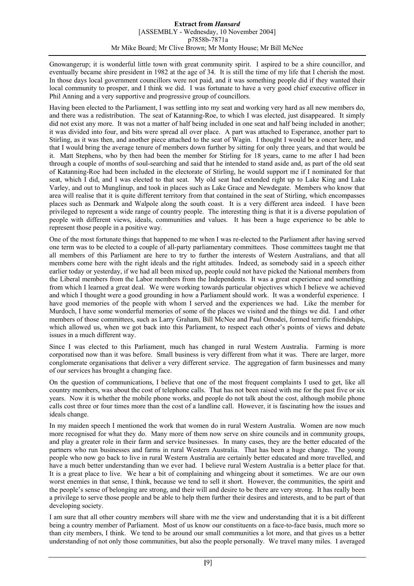Gnowangerup; it is wonderful little town with great community spirit. I aspired to be a shire councillor, and eventually became shire president in 1982 at the age of 34. It is still the time of my life that I cherish the most. In those days local government councillors were not paid, and it was something people did if they wanted their local community to prosper, and I think we did. I was fortunate to have a very good chief executive officer in Phil Anning and a very supportive and progressive group of councillors.

Having been elected to the Parliament, I was settling into my seat and working very hard as all new members do, and there was a redistribution. The seat of Katanning-Roe, to which I was elected, just disappeared. It simply did not exist any more. It was not a matter of half being included in one seat and half being included in another; it was divided into four, and bits were spread all over place. A part was attached to Esperance, another part to Stirling, as it was then, and another piece attached to the seat of Wagin. I thought I would be a oncer here, and that I would bring the average tenure of members down further by sitting for only three years, and that would be it. Matt Stephens, who by then had been the member for Stirling for 18 years, came to me after I had been through a couple of months of soul-searching and said that he intended to stand aside and, as part of the old seat of Katanning-Roe had been included in the electorate of Stirling, he would support me if I nominated for that seat, which I did, and I was elected to that seat. My old seat had extended right up to Lake King and Lake Varley, and out to Munglinup, and took in places such as Lake Grace and Newdegate. Members who know that area will realise that it is quite different territory from that contained in the seat of Stirling, which encompasses places such as Denmark and Walpole along the south coast. It is a very different area indeed. I have been privileged to represent a wide range of country people. The interesting thing is that it is a diverse population of people with different views, ideals, communities and values. It has been a huge experience to be able to represent those people in a positive way.

One of the most fortunate things that happened to me when I was re-elected to the Parliament after having served one term was to be elected to a couple of all-party parliamentary committees. Those committees taught me that all members of this Parliament are here to try to further the interests of Western Australians, and that all members come here with the right ideals and the right attitudes. Indeed, as somebody said in a speech either earlier today or yesterday, if we had all been mixed up, people could not have picked the National members from the Liberal members from the Labor members from the Independents. It was a great experience and something from which I learned a great deal. We were working towards particular objectives which I believe we achieved and which I thought were a good grounding in how a Parliament should work. It was a wonderful experience. I have good memories of the people with whom I served and the experiences we had. Like the member for Murdoch, I have some wonderful memories of some of the places we visited and the things we did. I and other members of those committees, such as Larry Graham, Bill McNee and Paul Omodei, formed terrific friendships, which allowed us, when we got back into this Parliament, to respect each other's points of views and debate issues in a much different way.

Since I was elected to this Parliament, much has changed in rural Western Australia. Farming is more corporatised now than it was before. Small business is very different from what it was. There are larger, more conglomerate organisations that deliver a very different service. The aggregation of farm businesses and many of our services has brought a changing face.

On the question of communications, I believe that one of the most frequent complaints I used to get, like all country members, was about the cost of telephone calls. That has not been raised with me for the past five or six years. Now it is whether the mobile phone works, and people do not talk about the cost, although mobile phone calls cost three or four times more than the cost of a landline call. However, it is fascinating how the issues and ideals change.

In my maiden speech I mentioned the work that women do in rural Western Australia. Women are now much more recognised for what they do. Many more of them now serve on shire councils and in community groups, and play a greater role in their farm and service businesses. In many cases, they are the better educated of the partners who run businesses and farms in rural Western Australia. That has been a huge change. The young people who now go back to live in rural Western Australia are certainly better educated and more travelled, and have a much better understanding than we ever had. I believe rural Western Australia is a better place for that. It is a great place to live. We hear a bit of complaining and whingeing about it sometimes. We are our own worst enemies in that sense, I think, because we tend to sell it short. However, the communities, the spirit and the people's sense of belonging are strong, and their will and desire to be there are very strong. It has really been a privilege to serve those people and be able to help them further their desires and interests, and to be part of that developing society.

I am sure that all other country members will share with me the view and understanding that it is a bit different being a country member of Parliament. Most of us know our constituents on a face-to-face basis, much more so than city members, I think. We tend to be around our small communities a lot more, and that gives us a better understanding of not only those communities, but also the people personally. We travel many miles. I averaged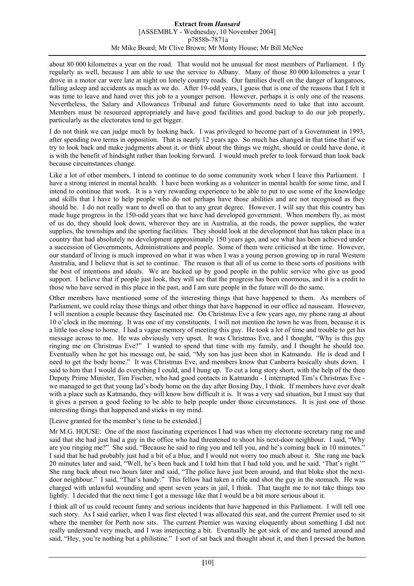about 80 000 kilometres a year on the road. That would not be unusual for most members of Parliament. I fly regularly as well, because I am able to use the service to Albany. Many of those 80 000 kilometres a year I drove in a motor car were late at night on lonely country roads. Our families dwell on the danger of kangaroos, falling asleep and accidents as much as we do. After 19-odd years, I guess that is one of the reasons that I felt it was time to leave and hand over this job to a younger person. However, perhaps it is only one of the reasons. Nevertheless, the Salary and Allowances Tribunal and future Governments need to take that into account. Members must be resourced appropriately and have good facilities and good backup to do our job properly, particularly as the electorates tend to get bigger.

I do not think we can judge much by looking back. I was privileged to become part of a Government in 1993, after spending two terms in opposition. That is nearly 12 years ago. So much has changed in that time that if we try to look back and make judgments about it, or think about the things we might, should or could have done, it is with the benefit of hindsight rather than looking forward. I would much prefer to look forward than look back because circumstances change.

Like a lot of other members, I intend to continue to do some community work when I leave this Parliament. I have a strong interest in mental health. I have been working as a volunteer in mental health for some time, and I intend to continue that work. It is a very rewarding experience to be able to put to use some of the knowledge and skills that I have to help people who do not perhaps have those abilities and are not recognised as they should be. I do not really want to dwell on that to any great degree. However, I will say that this country has made huge progress in the 150-odd years that we have had developed government. When members fly, as most of us do, they should look down, wherever they are in Australia, at the roads, the power supplies, the water supplies, the townships and the sporting facilities. They should look at the development that has taken place in a country that had absolutely no development approximately 150 years ago, and see what has been achieved under a succession of Governments, Administrations and people. Some of them were criticised at the time. However, our standard of living is much improved on what it was when I was a young person growing up in rural Western Australia, and I believe that is set to continue. The reason is that all of us come to these sorts of positions with the best of intentions and ideals. We are backed up by good people in the public service who give us good support. I believe that if people just look, they will see that the progress has been enormous, and it is a credit to those who have served in this place in the past, and I am sure people in the future will do the same.

Other members have mentioned some of the interesting things that have happened to them. As members of Parliament, we could relay those things and other things that have happened in our office ad nauseam. However, I will mention a couple because they fascinated me. On Christmas Eve a few years ago, my phone rang at about 10 o'clock in the morning. It was one of my constituents. I will not mention the town he was from, because it is a little too close to home. I had a vague memory of meeting this guy. He took a lot of time and trouble to get his message across to me. He was obviously very upset. It was Christmas Eve, and I thought, "Why is this guy ringing me on Christmas Eve?" I wanted to spend that time with my family, and I thought he should too. Eventually when he got his message out, he said, "My son has just been shot in Katmandu. He is dead and I need to get the body home." It was Christmas Eve, and members know that Canberra basically shuts down. I said to him that I would do everything I could, and I hung up. To cut a long story short, with the help of the then Deputy Prime Minister, Tim Fischer, who had good contacts in Katmandu - I interrupted Tim's Christmas Eve we managed to get that young lad's body home on the day after Boxing Day, I think. If members have ever dealt with a place such as Katmandu, they will know how difficult it is. It was a very sad situation, but I must say that it gives a person a good feeling to be able to help people under those circumstances. It is just one of those interesting things that happened and sticks in my mind.

[Leave granted for the member's time to be extended.]

Mr M.G. HOUSE: One of the most fascinating experiences I had was when my electorate secretary rang me and said that she had just had a guy in the office who had threatened to shoot his next-door neighbour. I said, "Why are you ringing me?" She said, "Because he said to ring you and tell you, and he's coming back in 10 minutes." I said that he had probably just had a bit of a blue, and I would not worry too much about it. She rang me back 20 minutes later and said, "Well, he's been back and I told him that I had told you, and he said, 'That's right.'" She rang back about two hours later and said, "The police have just been around, and that bloke shot the nextdoor neighbour." I said, "That's handy." This fellow had taken a rifle and shot the guy in the stomach. He was charged with unlawful wounding and spent seven years in jail, I think. That taught me to not take things too lightly. I decided that the next time I got a message like that I would be a bit more serious about it.

I think all of us could recount funny and serious incidents that have happened in this Parliament. I will tell one such story. As I said earlier, when I was first elected I was allocated this seat, and the current Premier used to sit where the member for Perth now sits. The current Premier was waxing eloquently about something I did not really understand very much, and I was interjecting a bit. Eventually he got sick of me and turned around and said, "Hey, you're nothing but a philistine." I sort of sat back and thought about it, and then I pressed the button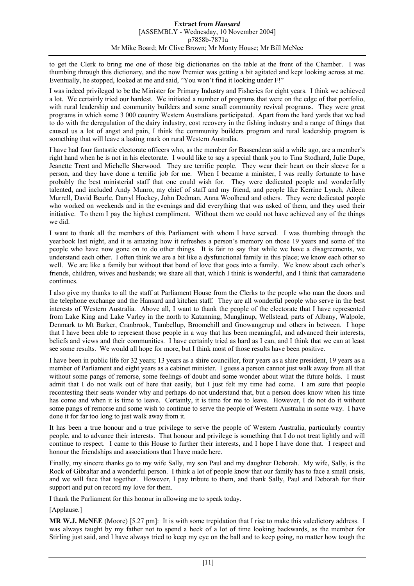to get the Clerk to bring me one of those big dictionaries on the table at the front of the Chamber. I was thumbing through this dictionary, and the now Premier was getting a bit agitated and kept looking across at me. Eventually, he stopped, looked at me and said, "You won't find it looking under F!"

I was indeed privileged to be the Minister for Primary Industry and Fisheries for eight years. I think we achieved a lot. We certainly tried our hardest. We initiated a number of programs that were on the edge of that portfolio, with rural leadership and community builders and some small community revival programs. They were great programs in which some 3 000 country Western Australians participated. Apart from the hard yards that we had to do with the deregulation of the dairy industry, cost recovery in the fishing industry and a range of things that caused us a lot of angst and pain, I think the community builders program and rural leadership program is something that will leave a lasting mark on rural Western Australia.

I have had four fantastic electorate officers who, as the member for Bassendean said a while ago, are a member's right hand when he is not in his electorate. I would like to say a special thank you to Tina Stodhard, Julie Dupe, Jeanette Trent and Michelle Sherwood. They are terrific people. They wear their heart on their sleeve for a person, and they have done a terrific job for me. When I became a minister, I was really fortunate to have probably the best ministerial staff that one could wish for. They were dedicated people and wonderfully talented, and included Andy Munro, my chief of staff and my friend, and people like Kerrine Lynch, Aileen Murrell, David Beurle, Darryl Hockey, John Dedman, Anna Woolhead and others. They were dedicated people who worked on weekends and in the evenings and did everything that was asked of them, and they used their initiative. To them I pay the highest compliment. Without them we could not have achieved any of the things we did.

I want to thank all the members of this Parliament with whom I have served. I was thumbing through the yearbook last night, and it is amazing how it refreshes a person's memory on those 19 years and some of the people who have now gone on to do other things. It is fair to say that while we have a disagreements, we understand each other. I often think we are a bit like a dysfunctional family in this place; we know each other so well. We are like a family but without that bond of love that goes into a family. We know about each other's friends, children, wives and husbands; we share all that, which I think is wonderful, and I think that camaraderie continues.

I also give my thanks to all the staff at Parliament House from the Clerks to the people who man the doors and the telephone exchange and the Hansard and kitchen staff. They are all wonderful people who serve in the best interests of Western Australia. Above all, I want to thank the people of the electorate that I have represented from Lake King and Lake Varley in the north to Katanning, Munglinup, Wellstead, parts of Albany, Walpole, Denmark to Mt Barker, Cranbrook, Tambellup, Broomehill and Gnowangerup and others in between. I hope that I have been able to represent those people in a way that has been meaningful, and advanced their interests, beliefs and views and their communities. I have certainly tried as hard as I can, and I think that we can at least see some results. We would all hope for more, but I think most of those results have been positive.

I have been in public life for 32 years; 13 years as a shire councillor, four years as a shire president, 19 years as a member of Parliament and eight years as a cabinet minister. I guess a person cannot just walk away from all that without some pangs of remorse, some feelings of doubt and some wonder about what the future holds. I must admit that I do not walk out of here that easily, but I just felt my time had come. I am sure that people recontesting their seats wonder why and perhaps do not understand that, but a person does know when his time has come and when it is time to leave. Certainly, it is time for me to leave. However, I do not do it without some pangs of remorse and some wish to continue to serve the people of Western Australia in some way. I have done it for far too long to just walk away from it.

It has been a true honour and a true privilege to serve the people of Western Australia, particularly country people, and to advance their interests. That honour and privilege is something that I do not treat lightly and will continue to respect. I came to this House to further their interests, and I hope I have done that. I respect and honour the friendships and associations that I have made here.

Finally, my sincere thanks go to my wife Sally, my son Paul and my daughter Deborah. My wife, Sally, is the Rock of Gibraltar and a wonderful person. I think a lot of people know that our family has to face a small crisis, and we will face that together. However, I pay tribute to them, and thank Sally, Paul and Deborah for their support and put on record my love for them.

I thank the Parliament for this honour in allowing me to speak today.

[Applause.]

**MR W.J. McNEE** (Moore) [5.27 pm]: It is with some trepidation that I rise to make this valedictory address. I was always taught by my father not to spend a heck of a lot of time looking backwards, as the member for Stirling just said, and I have always tried to keep my eye on the ball and to keep going, no matter how tough the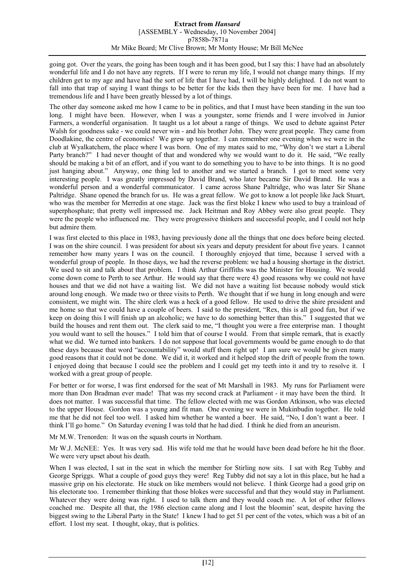going got. Over the years, the going has been tough and it has been good, but I say this: I have had an absolutely wonderful life and I do not have any regrets. If I were to rerun my life, I would not change many things. If my children get to my age and have had the sort of life that I have had, I will be highly delighted. I do not want to fall into that trap of saying I want things to be better for the kids then they have been for me. I have had a tremendous life and I have been greatly blessed by a lot of things.

The other day someone asked me how I came to be in politics, and that I must have been standing in the sun too long. I might have been. However, when I was a youngster, some friends and I were involved in Junior Farmers, a wonderful organisation. It taught us a lot about a range of things. We used to debate against Peter Walsh for goodness sake - we could never win - and his brother John. They were great people. They came from Doodlakine, the centre of economics! We grew up together. I can remember one evening when we were in the club at Wyalkatchem, the place where I was born. One of my mates said to me, "Why don't we start a Liberal Party branch?" I had never thought of that and wondered why we would want to do it. He said, "We really should be making a bit of an effort, and if you want to do something you to have to be into things. It is no good just hanging about." Anyway, one thing led to another and we started a branch. I got to meet some very interesting people. I was greatly impressed by David Brand, who later became Sir David Brand. He was a wonderful person and a wonderful communicator. I came across Shane Paltridge, who was later Sir Shane Paltridge. Shane opened the branch for us. He was a great fellow. We got to know a lot people like Jack Stuart, who was the member for Merredin at one stage. Jack was the first bloke I knew who used to buy a trainload of superphosphate; that pretty well impressed me. Jack Heitman and Roy Abbey were also great people. They were the people who influenced me. They were progressive thinkers and successful people, and I could not help but admire them.

I was first elected to this place in 1983, having previously done all the things that one does before being elected. I was on the shire council. I was president for about six years and deputy president for about five years. I cannot remember how many years I was on the council. I thoroughly enjoyed that time, because I served with a wonderful group of people. In those days, we had the reverse problem: we had a housing shortage in the district. We used to sit and talk about that problem. I think Arthur Griffiths was the Minister for Housing. We would come down come to Perth to see Arthur. He would say that there were 43 good reasons why we could not have houses and that we did not have a waiting list. We did not have a waiting list because nobody would stick around long enough. We made two or three visits to Perth. We thought that if we hung in long enough and were consistent, we might win. The shire clerk was a heck of a good fellow. He used to drive the shire president and me home so that we could have a couple of beers. I said to the president, "Rex, this is all good fun, but if we keep on doing this I will finish up an alcoholic; we have to do something better than this." I suggested that we build the houses and rent them out. The clerk said to me, "I thought you were a free enterprise man. I thought you would want to sell the houses." I told him that of course I would. From that simple remark, that is exactly what we did. We turned into bankers. I do not suppose that local governments would be game enough to do that these days because that word "accountability" would stuff them right up! I am sure we would be given many good reasons that it could not be done. We did it, it worked and it helped stop the drift of people from the town. I enjoyed doing that because I could see the problem and I could get my teeth into it and try to resolve it. I worked with a great group of people.

For better or for worse, I was first endorsed for the seat of Mt Marshall in 1983. My runs for Parliament were more than Don Bradman ever made! That was my second crack at Parliament - it may have been the third. It does not matter. I was successful that time. The fellow elected with me was Gordon Atkinson, who was elected to the upper House. Gordon was a young and fit man. One evening we were in Mukinbudin together. He told me that he did not feel too well. I asked him whether he wanted a beer. He said, "No, I don't want a beer. I think I'll go home." On Saturday evening I was told that he had died. I think he died from an aneurism.

Mr M.W. Trenorden: It was on the squash courts in Northam.

Mr W.J. McNEE: Yes. It was very sad. His wife told me that he would have been dead before he hit the floor. We were very upset about his death.

When I was elected, I sat in the seat in which the member for Stirling now sits. I sat with Reg Tubby and George Spriggs. What a couple of good guys they were! Reg Tubby did not say a lot in this place, but he had a massive grip on his electorate. He stuck on like members would not believe. I think George had a good grip on his electorate too. I remember thinking that those blokes were successful and that they would stay in Parliament. Whatever they were doing was right. I used to talk them and they would coach me. A lot of other fellows coached me. Despite all that, the 1986 election came along and I lost the bloomin' seat, despite having the biggest swing to the Liberal Party in the State! I knew I had to get 51 per cent of the votes, which was a bit of an effort. I lost my seat. I thought, okay, that is politics.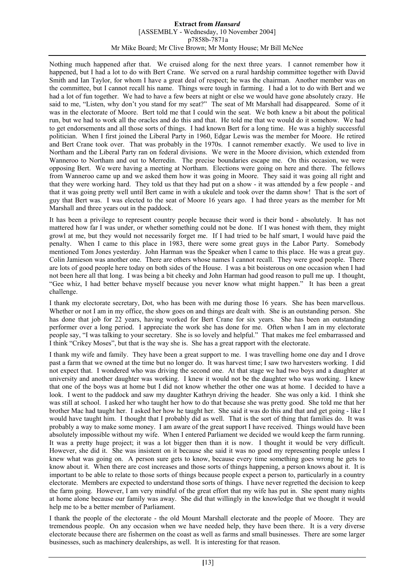Nothing much happened after that. We cruised along for the next three years. I cannot remember how it happened, but I had a lot to do with Bert Crane. We served on a rural hardship committee together with David Smith and Ian Taylor, for whom I have a great deal of respect; he was the chairman. Another member was on the committee, but I cannot recall his name. Things were tough in farming. I had a lot to do with Bert and we had a lot of fun together. We had to have a few beers at night or else we would have gone absolutely crazy. He said to me, "Listen, why don't you stand for my seat?" The seat of Mt Marshall had disappeared. Some of it was in the electorate of Moore. Bert told me that I could win the seat. We both knew a bit about the political run, but we had to work all the oracles and do this and that. He told me that we would do it somehow. We had to get endorsements and all those sorts of things. I had known Bert for a long time. He was a highly successful politician. When I first joined the Liberal Party in 1960, Edgar Lewis was the member for Moore. He retired and Bert Crane took over. That was probably in the 1970s. I cannot remember exactly. We used to live in Northam and the Liberal Party ran on federal divisions. We were in the Moore division, which extended from Wanneroo to Northam and out to Merredin. The precise boundaries escape me. On this occasion, we were opposing Bert. We were having a meeting at Northam. Elections were going on here and there. The fellows from Wanneroo came up and we asked them how it was going in Moore. They said it was going all right and that they were working hard. They told us that they had put on a show - it was attended by a few people - and that it was going pretty well until Bert came in with a ukulele and took over the damn show! That is the sort of guy that Bert was. I was elected to the seat of Moore 16 years ago. I had three years as the member for Mt Marshall and three years out in the paddock.

It has been a privilege to represent country people because their word is their bond - absolutely. It has not mattered how far I was under, or whether something could not be done. If I was honest with them, they might growl at me, but they would not necessarily forget me. If I had tried to be half smart, I would have paid the penalty. When I came to this place in 1983, there were some great guys in the Labor Party. Somebody mentioned Tom Jones yesterday. John Harman was the Speaker when I came to this place. He was a great guy. Colin Jamieson was another one. There are others whose names I cannot recall. They were good people. There are lots of good people here today on both sides of the House. I was a bit boisterous on one occasion when I had not been here all that long. I was being a bit cheeky and John Harman had good reason to pull me up. I thought, "Gee whiz, I had better behave myself because you never know what might happen." It has been a great challenge.

I thank my electorate secretary, Dot, who has been with me during those 16 years. She has been marvellous. Whether or not I am in my office, the show goes on and things are dealt with. She is an outstanding person. She has done that job for 22 years, having worked for Bert Crane for six years. She has been an outstanding performer over a long period. I appreciate the work she has done for me. Often when I am in my electorate people say, "I was talking to your secretary. She is so lovely and helpful." That makes me feel embarrassed and I think "Crikey Moses", but that is the way she is. She has a great rapport with the electorate.

I thank my wife and family. They have been a great support to me. I was travelling home one day and I drove past a farm that we owned at the time but no longer do. It was harvest time; I saw two harvesters working. I did not expect that. I wondered who was driving the second one. At that stage we had two boys and a daughter at university and another daughter was working. I knew it would not be the daughter who was working. I knew that one of the boys was at home but I did not know whether the other one was at home. I decided to have a look. I went to the paddock and saw my daughter Kathryn driving the header. She was only a kid. I think she was still at school. I asked her who taught her how to do that because she was pretty good. She told me that her brother Mac had taught her. I asked her how he taught her. She said it was do this and that and get going - like I would have taught him. I thought that I probably did as well. That is the sort of thing that families do. It was probably a way to make some money. I am aware of the great support I have received. Things would have been absolutely impossible without my wife. When I entered Parliament we decided we would keep the farm running. It was a pretty huge project; it was a lot bigger then than it is now. I thought it would be very difficult. However, she did it. She was insistent on it because she said it was no good my representing people unless I knew what was going on. A person sure gets to know, because every time something goes wrong he gets to know about it. When there are cost increases and those sorts of things happening, a person knows about it. It is important to be able to relate to those sorts of things because people expect a person to, particularly in a country electorate. Members are expected to understand those sorts of things. I have never regretted the decision to keep the farm going. However, I am very mindful of the great effort that my wife has put in. She spent many nights at home alone because our family was away. She did that willingly in the knowledge that we thought it would help me to be a better member of Parliament.

I thank the people of the electorate - the old Mount Marshall electorate and the people of Moore. They are tremendous people. On any occasion when we have needed help, they have been there. It is a very diverse electorate because there are fishermen on the coast as well as farms and small businesses. There are some larger businesses, such as machinery dealerships, as well. It is interesting for that reason.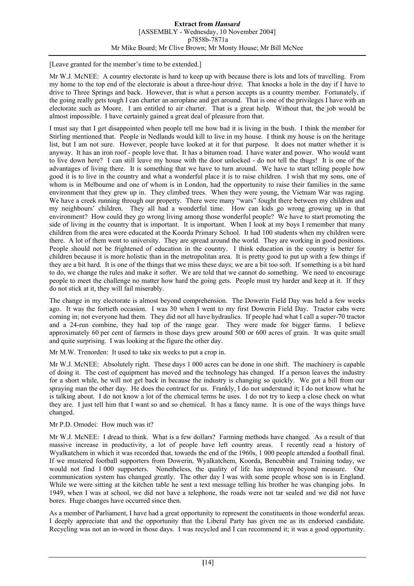[Leave granted for the member's time to be extended.]

Mr W.J. McNEE: A country electorate is hard to keep up with because there is lots and lots of travelling. From my home to the top end of the electorate is about a three-hour drive. That knocks a hole in the day if I have to drive to Three Springs and back. However, that is what a person accepts as a country member. Fortunately, if the going really gets tough I can charter an aeroplane and get around. That is one of the privileges I have with an electorate such as Moore. I am entitled to air charter. That is a great help. Without that, the job would be almost impossible. I have certainly gained a great deal of pleasure from that.

I must say that I get disappointed when people tell me how bad it is living in the bush. I think the member for Stirling mentioned that. People in Nedlands would kill to live in my house. I think my house is on the heritage list, but I am not sure. However, people have looked at it for that purpose. It does not matter whether it is anyway. It has an iron roof - people love that. It has a bitumen road. I have water and power. Who would want to live down here? I can still leave my house with the door unlocked - do not tell the thugs! It is one of the advantages of living there. It is something that we have to turn around. We have to start telling people how good it is to live in the country and what a wonderful place it is to raise children. I wish that my sons, one of whom is in Melbourne and one of whom is in London, had the opportunity to raise their families in the same environment that they grew up in. They climbed trees. When they were young, the Vietnam War was raging. We have a creek running through our property. There were many "wars" fought there between my children and my neighbours' children. They all had a wonderful time. How can kids go wrong growing up in that environment? How could they go wrong living among those wonderful people? We have to start promoting the side of living in the country that is important. It is important. When I look at my boys I remember that many children from the area were educated at the Koorda Primary School. It had 100 students when my children were there. A lot of them went to university. They are spread around the world. They are working in good positions. People should not be frightened of education in the country. I think education in the country is better for children because it is more holistic than in the metropolitan area. It is pretty good to put up with a few things if they are a bit hard. It is one of the things that we miss these days; we are a bit too soft. If something is a bit hard to do, we change the rules and make it softer. We are told that we cannot do something. We need to encourage people to meet the challenge no matter how hard the going gets. People must try harder and keep at it. If they do not stick at it, they will fail miserably.

The change in my electorate is almost beyond comprehension. The Dowerin Field Day was held a few weeks ago. It was the fortieth occasion. I was 30 when I went to my first Dowerin Field Day. Tractor cabs were coming in; not everyone had them. They did not all have hydraulics. If people had what I call a super-70 tractor and a 24-run combine, they had top of the range gear. They were made for bigger farms. I believe approximately 60 per cent of farmers in those days grew around 500 or 600 acres of grain. It was quite small and quite surprising. I was looking at the figure the other day.

Mr M.W. Trenorden: It used to take six weeks to put a crop in.

Mr W.J. McNEE: Absolutely right. These days 1 000 acres can be done in one shift. The machinery is capable of doing it. The cost of equipment has moved and the technology has changed. If a person leaves the industry for a short while, he will not get back in because the industry is changing so quickly. We got a bill from our spraying man the other day. He does the contract for us. Frankly, I do not understand it; I do not know what he is talking about. I do not know a lot of the chemical terms he uses. I do not try to keep a close check on what they are. I just tell him that I want so and so chemical. It has a fancy name. It is one of the ways things have changed.

# Mr P.D. Omodei: How much was it?

Mr W.J. McNEE: I dread to think. What is a few dollars? Farming methods have changed. As a result of that massive increase in productivity, a lot of people have left country areas. I recently read a history of Wyalkatchem in which it was recorded that, towards the end of the 1960s, 1 000 people attended a football final. If we mustered football supporters from Dowerin, Wyalkatchem, Koorda, Bencubbin and Training today, we would not find 1 000 supporters. Nonetheless, the quality of life has improved beyond measure. Our communication system has changed greatly. The other day I was with some people whose son is in England. While we were sitting at the kitchen table he sent a text message telling his brother he was changing jobs. In 1949, when I was at school, we did not have a telephone, the roads were not tar sealed and we did not have bores. Huge changes have occurred since then.

As a member of Parliament, I have had a great opportunity to represent the constituents in those wonderful areas. I deeply appreciate that and the opportunity that the Liberal Party has given me as its endorsed candidate. Recycling was not an in-word in those days. I was recycled and I can recommend it; it was a good opportunity.